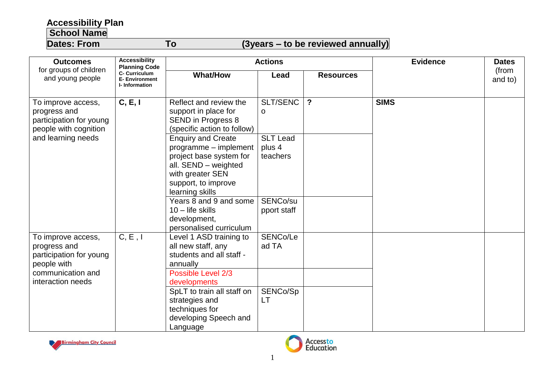## **Accessibility Plan**

## **School Name**

## **Dates: From To (3years – to be reviewed annually)**

| <b>Outcomes</b><br>for groups of children<br>and young people                                                          | <b>Accessibility</b><br><b>Planning Code</b><br>C- Curriculum<br><b>E- Environment</b><br><b>I-</b> Information | <b>Actions</b>                                                                                                                                                      |                                       |                  | <b>Evidence</b> | <b>Dates</b>     |
|------------------------------------------------------------------------------------------------------------------------|-----------------------------------------------------------------------------------------------------------------|---------------------------------------------------------------------------------------------------------------------------------------------------------------------|---------------------------------------|------------------|-----------------|------------------|
|                                                                                                                        |                                                                                                                 | <b>What/How</b>                                                                                                                                                     | Lead                                  | <b>Resources</b> |                 | (from<br>and to) |
| To improve access,<br>progress and<br>participation for young<br>people with cognition<br>and learning needs           | C, E, I                                                                                                         | Reflect and review the<br>support in place for<br><b>SEND in Progress 8</b><br>(specific action to follow)                                                          | SLT/SENC<br>0                         | $\mathbf{?}$     | <b>SIMS</b>     |                  |
|                                                                                                                        |                                                                                                                 | <b>Enquiry and Create</b><br>programme - implement<br>project base system for<br>all. SEND - weighted<br>with greater SEN<br>support, to improve<br>learning skills | <b>SLT Lead</b><br>plus 4<br>teachers |                  |                 |                  |
|                                                                                                                        |                                                                                                                 | Years 8 and 9 and some<br>$10 -$ life skills<br>development,<br>personalised curriculum                                                                             | SENCo/su<br>pport staff               |                  |                 |                  |
| To improve access,<br>progress and<br>participation for young<br>people with<br>communication and<br>interaction needs | C, E, I                                                                                                         | Level 1 ASD training to<br>all new staff, any<br>students and all staff -<br>annually                                                                               | SENCo/Le<br>ad TA                     |                  |                 |                  |
|                                                                                                                        |                                                                                                                 | Possible Level 2/3<br>developments<br>SpLT to train all staff on<br>strategies and<br>techniques for                                                                | SENCo/Sp<br>LT                        |                  |                 |                  |
|                                                                                                                        |                                                                                                                 | developing Speech and<br>Language                                                                                                                                   |                                       |                  |                 |                  |



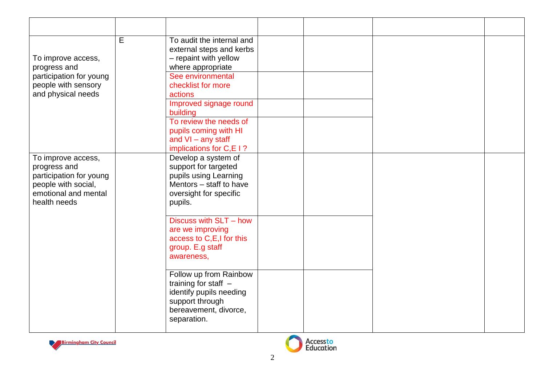| To improve access,<br>progress and<br>participation for young<br>people with sensory<br>and physical needs                   | E | To audit the internal and<br>external steps and kerbs<br>- repaint with yellow<br>where appropriate<br>See environmental<br>checklist for more<br>actions<br>Improved signage round<br>building<br>To review the needs of<br>pupils coming with HI<br>and $VI - any staff$<br>implications for C,E I? |  |  |
|------------------------------------------------------------------------------------------------------------------------------|---|-------------------------------------------------------------------------------------------------------------------------------------------------------------------------------------------------------------------------------------------------------------------------------------------------------|--|--|
| To improve access,<br>progress and<br>participation for young<br>people with social,<br>emotional and mental<br>health needs |   | Develop a system of<br>support for targeted<br>pupils using Learning<br>Mentors - staff to have<br>oversight for specific<br>pupils.                                                                                                                                                                  |  |  |
|                                                                                                                              |   | Discuss with SLT - how<br>are we improving<br>access to C,E,I for this<br>group. E.g staff<br>awareness,                                                                                                                                                                                              |  |  |
|                                                                                                                              |   | Follow up from Rainbow<br>training for staff $-$<br>identify pupils needing<br>support through<br>bereavement, divorce,<br>separation.                                                                                                                                                                |  |  |